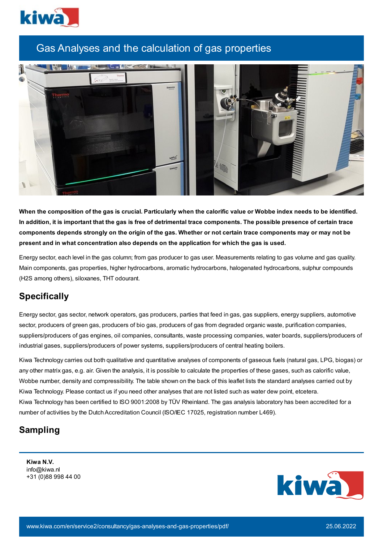

## Gas Analyses and the calculation of gas properties



When the composition of the gas is crucial. Particularly when the calorific value or Wobbe index needs to be identified. In addition, it is important that the gas is free of detrimental trace components. The possible presence of certain trace components depends strongly on the origin of the gas. Whether or not certain trace components may or may not be **present and in what concentration also depends on the application for which the gas is used.**

Energy sector, each level in the gas column; from gas producer to gas user. Measurements relating to gas volume and gas quality. Main components, gas properties, higher hydrocarbons, aromatic hydrocarbons, halogenated hydrocarbons, sulphur compounds (H2S among others), siloxanes, THT odourant.

## **Specifically**

Energy sector, gas sector, network operators, gas producers, parties that feed in gas, gas suppliers, energy suppliers, automotive sector, producers of green gas, producers of bio gas, producers of gas from degraded organic waste, purification companies, suppliers/producers of gas engines, oil companies, consultants, waste processing companies, water boards, suppliers/producers of industrial gases, suppliers/producers of power systems, suppliers/producers of central heating boilers.

Kiwa Technology carries out both qualitative and quantitative analyses of components of gaseous fuels (natural gas, LPG, biogas) or any other matrix gas, e.g. air. Given the analysis, it is possible to calculate the properties of these gases, such as calorific value, Wobbe number, density and compressibility. The table shown on the back of this leaflet lists the standard analyses carried out by Kiwa Technology. Please contact us if you need other analyses that are not listed such as water dew point, etcetera. Kiwa Technology has been certified to ISO 9001:2008 by TÜV Rheinland. The gas analysis laboratory has been accredited for a number of activities by the Dutch Accreditation Council (ISO/IEC 17025, registration number L469).

## **Sampling**

**Kiwa N.V.** info@kiwa.nl +31 (0)88 998 44 00